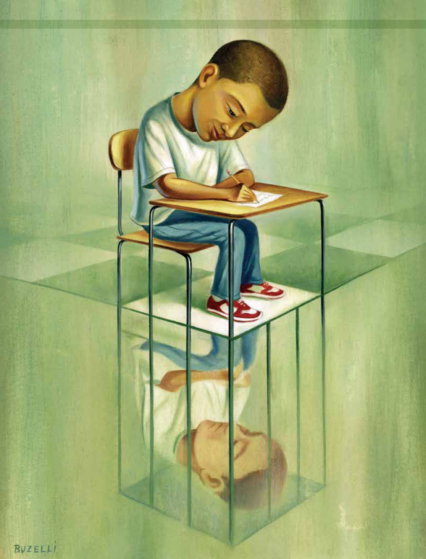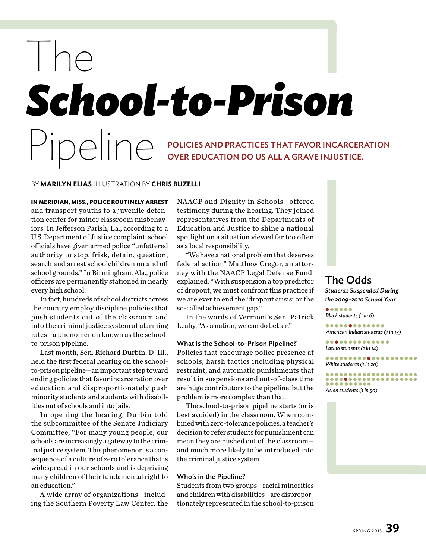# The *School-to-Prison*  PIPELINE POLICIES AND PRACTICES THAT FAVOR INCARCERATION<br>
OVER EDUCATION DO US ALL A GRAVE INJUSTICE. OVER EDUCATION DO US ALL A GRAVE INJUSTICE.

## By **Marilyn Elias** illustration by **chris buzelli**

**In Meridian, Miss., police routinely arrest**  and transport youths to a juvenile detention center for minor classroom misbehaviors. In Jefferson Parish, La., according to a U.S. Department of Justice complaint, school officials have given armed police "unfettered authority to stop, frisk, detain, question, search and arrest schoolchildren on and off school grounds." In Birmingham, Ala., police officers are permanently stationed in nearly every high school.

In fact, hundreds of school districts across the country employ discipline policies that push students out of the classroom and into the criminal justice system at alarming rates—a phenomenon known as the schoolto-prison pipeline.

Last month, Sen. Richard Durbin, D-Ill., held the first federal hearing on the schoolto-prison pipeline—an important step toward ending policies that favor incarceration over education and disproportionately push minority students and students with disabilities out of schools and into jails.

In opening the hearing, Durbin told the subcommittee of the Senate Judiciary Committee, "For many young people, our schools are increasingly a gateway to the criminal justice system. This phenomenon is a consequence of a culture of zero tolerance that is widespread in our schools and is depriving many children of their fundamental right to an education."

A wide array of organizations—including the Southern Poverty Law Center, the

NAACP and Dignity in Schools—offered testimony during the hearing. They joined representatives from the Departments of Education and Justice to shine a national spotlight on a situation viewed far too often as a local responsibility.

"We have a national problem that deserves federal action," Matthew Cregor, an attorney with the NAACP Legal Defense Fund, explained. "With suspension a top predictor of dropout, we must confront this practice if we are ever to end the 'dropout crisis' or the so-called achievement gap."

In the words of Vermont's Sen. Patrick Leahy, "As a nation, we can do better."

#### What is the School-to-Prison Pipeline?

Policies that encourage police presence at schools, harsh tactics including physical restraint, and automatic punishments that result in suspensions and out-of-class time are huge contributors to the pipeline, but the problem is more complex than that.

The school-to-prison pipeline starts (or is best avoided) in the classroom. When combined with zero-tolerance policies, a teacher's decision to refer students for punishment can mean they are pushed out of the classroom and much more likely to be introduced into the criminal justice system.

#### Who's in the Pipeline?

Students from two groups—racial minorities and children with disabilities—are disproportionately represented in the school-to-prison

## The Odds

*Students Suspended During the 2009-2010 School Year*

...... *Black students (1 in 6)*

............. *American Indian students (1 in 13)*

.............. *Latino students (1 in 14)*

................... *White students (1 in 20)*

................... .................... ......... *Asian students (1 in 50)*